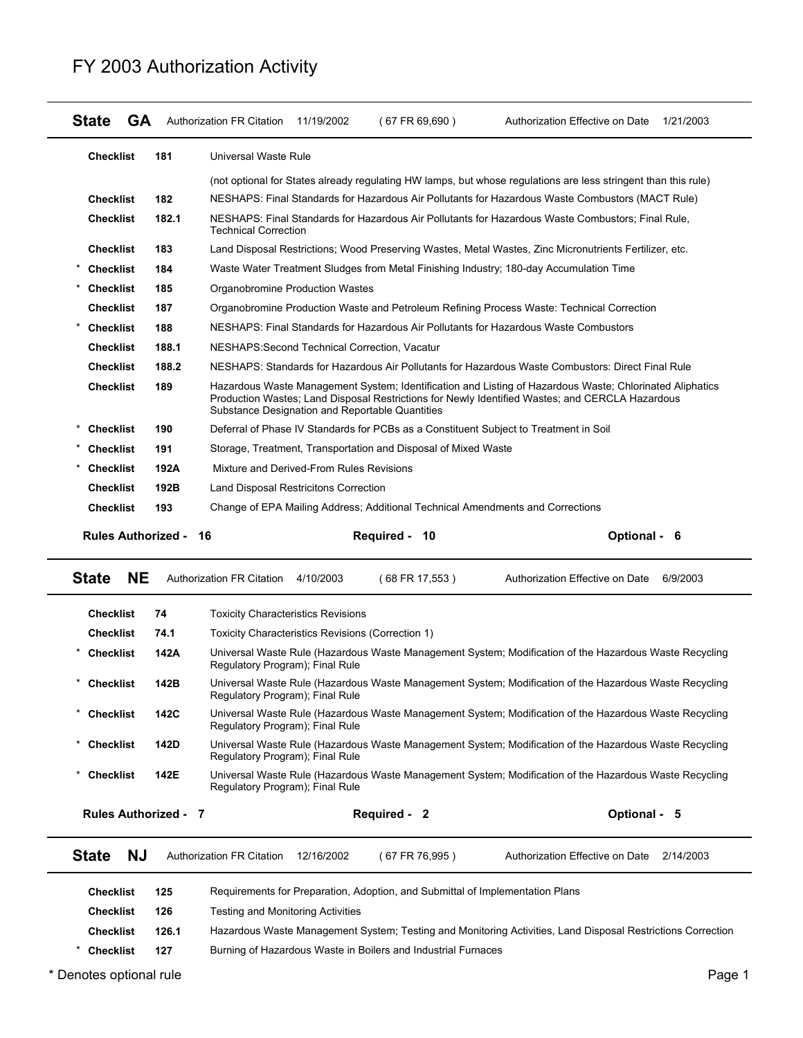#### **State GA** Authorization FR Citation 11/19/2002 (67 FR 69,690) Authorization Effective on Date 1/21/2003 **Checklist 181** Universal Waste Rule (not optional for States already regulating HW lamps, but whose regulations are less stringent than this rule) **Checklist 182** NESHAPS: Final Standards for Hazardous Air Pollutants for Hazardous Waste Combustors (MACT Rule) **Checklist 182.1** NESHAPS: Final Standards for Hazardous Air Pollutants for Hazardous Waste Combustors; Final Rule, Technical Correction **Checklist 183** Land Disposal Restrictions; Wood Preserving Wastes, Metal Wastes, Zinc Micronutrients Fertilizer, etc. \* **Checklist 184** Waste Water Treatment Sludges from Metal Finishing Industry; 180-day Accumulation Time **Checklist 185** Organobromine Production Wastes **Checklist 187** Organobromine Production Waste and Petroleum Refining Process Waste: Technical Correction \* **Checklist 188** NESHAPS: Final Standards for Hazardous Air Pollutants for Hazardous Waste Combustors **Checklist 188.1** NESHAPS:Second Technical Correction, Vacatur **Checklist 188.2** NESHAPS: Standards for Hazardous Air Pollutants for Hazardous Waste Combustors: Direct Final Rule **Checklist 189** Hazardous Waste Management System; Identification and Listing of Hazardous Waste; Chlorinated Aliphatics Production Wastes; Land Disposal Restrictions for Newly Identified Wastes; and CERCLA Hazardous Substance Designation and Reportable Quantities \* **Checklist 190** Deferral of Phase IV Standards for PCBs as a Constituent Subject to Treatment in Soil \* **Checklist 191** Storage, Treatment, Transportation and Disposal of Mixed Waste \* **Checklist 192A** Mixture and Derived-From Rules Revisions **Checklist 192B** Land Disposal Restricitons Correction **Checklist 193** Change of EPA Mailing Address; Additional Technical Amendments and Corrections **Rules Authorized - Required - Optional - 16 10 6**

### FY 2003 Authorization Activity

|                              |       | Substance Designation and Reportable Quantities                                       |                | Production Wastes; Land Disposal Restrictions for Newly Identified Wastes; and CERCLA Hazardous             |  |  |
|------------------------------|-------|---------------------------------------------------------------------------------------|----------------|-------------------------------------------------------------------------------------------------------------|--|--|
| <b>Checklist</b>             | 190   | Deferral of Phase IV Standards for PCBs as a Constituent Subject to Treatment in Soil |                |                                                                                                             |  |  |
| <b>Checklist</b>             | 191   | Storage, Treatment, Transportation and Disposal of Mixed Waste                        |                |                                                                                                             |  |  |
| <b>Checklist</b>             | 192A  | Mixture and Derived-From Rules Revisions                                              |                |                                                                                                             |  |  |
| <b>Checklist</b>             | 192B  | Land Disposal Restricitons Correction                                                 |                |                                                                                                             |  |  |
| <b>Checklist</b>             | 193   | Change of EPA Mailing Address; Additional Technical Amendments and Corrections        |                |                                                                                                             |  |  |
| <b>Rules Authorized - 16</b> |       |                                                                                       | Required - 10  | Optional - 6                                                                                                |  |  |
| <b>State</b><br><b>NE</b>    |       | Authorization FR Citation 4/10/2003                                                   | (68 FR 17,553) | Authorization Effective on Date<br>6/9/2003                                                                 |  |  |
| <b>Checklist</b>             | 74    | <b>Toxicity Characteristics Revisions</b>                                             |                |                                                                                                             |  |  |
| <b>Checklist</b>             | 74.1  | Toxicity Characteristics Revisions (Correction 1)                                     |                |                                                                                                             |  |  |
| <b>Checklist</b>             | 142A  | Regulatory Program); Final Rule                                                       |                | Universal Waste Rule (Hazardous Waste Management System; Modification of the Hazardous Waste Recycling      |  |  |
| <b>Checklist</b>             | 142B  | Regulatory Program); Final Rule                                                       |                | Universal Waste Rule (Hazardous Waste Management System: Modification of the Hazardous Waste Recycling      |  |  |
| * Checklist                  | 142C  | Regulatory Program); Final Rule                                                       |                | Universal Waste Rule (Hazardous Waste Management System; Modification of the Hazardous Waste Recycling      |  |  |
| <b>Checklist</b>             | 142D  | Regulatory Program); Final Rule                                                       |                | Universal Waste Rule (Hazardous Waste Management System; Modification of the Hazardous Waste Recycling      |  |  |
| <b>Checklist</b>             | 142E  | Regulatory Program); Final Rule                                                       |                | Universal Waste Rule (Hazardous Waste Management System; Modification of the Hazardous Waste Recycling      |  |  |
| <b>Rules Authorized - 7</b>  |       |                                                                                       | Required - 2   | Optional - 5                                                                                                |  |  |
| <b>State</b><br><b>NJ</b>    |       | <b>Authorization FR Citation</b><br>12/16/2002                                        | (67 FR 76,995) | Authorization Effective on Date<br>2/14/2003                                                                |  |  |
| <b>Checklist</b>             | 125   | Requirements for Preparation, Adoption, and Submittal of Implementation Plans         |                |                                                                                                             |  |  |
| <b>Checklist</b>             | 126   | <b>Testing and Monitoring Activities</b>                                              |                |                                                                                                             |  |  |
| <b>Checklist</b>             | 126.1 |                                                                                       |                | Hazardous Waste Management System; Testing and Monitoring Activities, Land Disposal Restrictions Correction |  |  |

\* **Checklist 127** Burning of Hazardous Waste in Boilers and Industrial Furnaces

\* Denotes optional rule **Page 1**  $\overline{P}$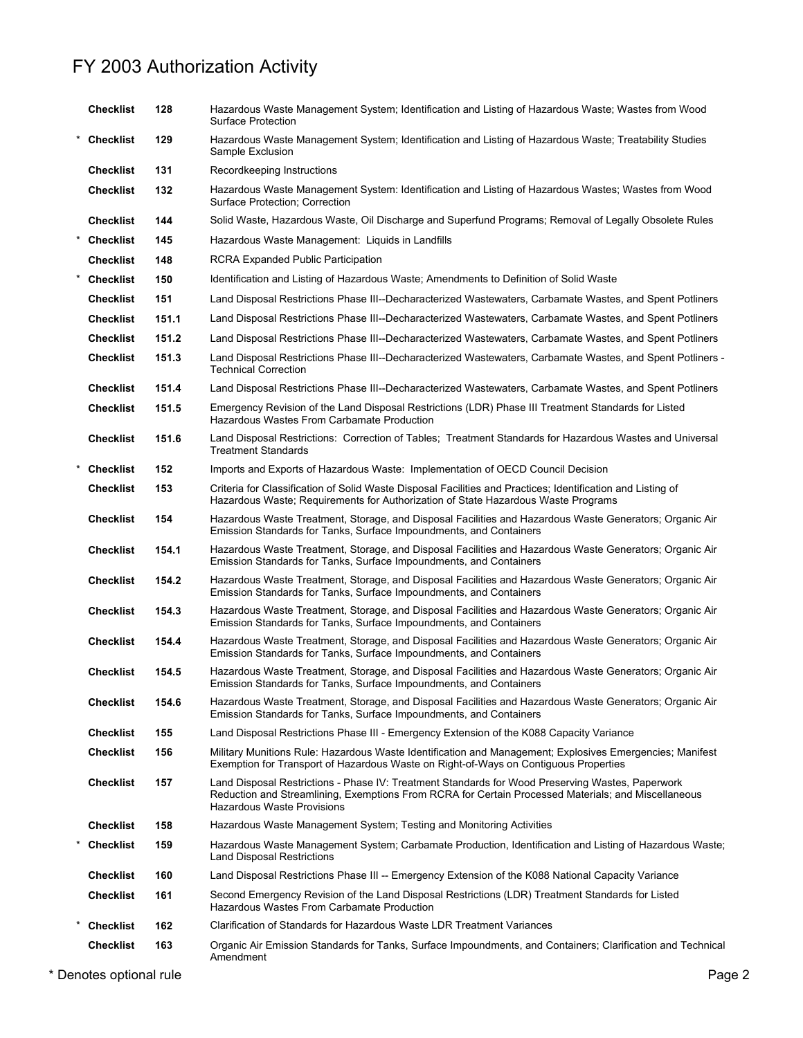| <b>Checklist</b> | 128   | Hazardous Waste Management System; Identification and Listing of Hazardous Waste; Wastes from Wood<br><b>Surface Protection</b>                                                                                                              |
|------------------|-------|----------------------------------------------------------------------------------------------------------------------------------------------------------------------------------------------------------------------------------------------|
| * Checklist      | 129   | Hazardous Waste Management System; Identification and Listing of Hazardous Waste; Treatability Studies<br>Sample Exclusion                                                                                                                   |
| <b>Checklist</b> | 131   | Recordkeeping Instructions                                                                                                                                                                                                                   |
| <b>Checklist</b> | 132   | Hazardous Waste Management System: Identification and Listing of Hazardous Wastes; Wastes from Wood<br>Surface Protection; Correction                                                                                                        |
| <b>Checklist</b> | 144   | Solid Waste, Hazardous Waste, Oil Discharge and Superfund Programs; Removal of Legally Obsolete Rules                                                                                                                                        |
| * Checklist      | 145   | Hazardous Waste Management: Liquids in Landfills                                                                                                                                                                                             |
| <b>Checklist</b> | 148   | RCRA Expanded Public Participation                                                                                                                                                                                                           |
| * Checklist      | 150   | Identification and Listing of Hazardous Waste; Amendments to Definition of Solid Waste                                                                                                                                                       |
| <b>Checklist</b> | 151   | Land Disposal Restrictions Phase III--Decharacterized Wastewaters, Carbamate Wastes, and Spent Potliners                                                                                                                                     |
| <b>Checklist</b> | 151.1 | Land Disposal Restrictions Phase III--Decharacterized Wastewaters, Carbamate Wastes, and Spent Potliners                                                                                                                                     |
| <b>Checklist</b> | 151.2 | Land Disposal Restrictions Phase III--Decharacterized Wastewaters, Carbamate Wastes, and Spent Potliners                                                                                                                                     |
| <b>Checklist</b> | 151.3 | Land Disposal Restrictions Phase III--Decharacterized Wastewaters, Carbamate Wastes, and Spent Potliners -<br><b>Technical Correction</b>                                                                                                    |
| <b>Checklist</b> | 151.4 | Land Disposal Restrictions Phase III--Decharacterized Wastewaters, Carbamate Wastes, and Spent Potliners                                                                                                                                     |
| <b>Checklist</b> | 151.5 | Emergency Revision of the Land Disposal Restrictions (LDR) Phase III Treatment Standards for Listed<br>Hazardous Wastes From Carbamate Production                                                                                            |
| <b>Checklist</b> | 151.6 | Land Disposal Restrictions: Correction of Tables; Treatment Standards for Hazardous Wastes and Universal<br><b>Treatment Standards</b>                                                                                                       |
| * Checklist      | 152   | Imports and Exports of Hazardous Waste: Implementation of OECD Council Decision                                                                                                                                                              |
| <b>Checklist</b> | 153   | Criteria for Classification of Solid Waste Disposal Facilities and Practices; Identification and Listing of<br>Hazardous Waste; Requirements for Authorization of State Hazardous Waste Programs                                             |
| <b>Checklist</b> | 154   | Hazardous Waste Treatment, Storage, and Disposal Facilities and Hazardous Waste Generators; Organic Air<br>Emission Standards for Tanks, Surface Impoundments, and Containers                                                                |
| <b>Checklist</b> | 154.1 | Hazardous Waste Treatment, Storage, and Disposal Facilities and Hazardous Waste Generators; Organic Air<br>Emission Standards for Tanks, Surface Impoundments, and Containers                                                                |
| <b>Checklist</b> | 154.2 | Hazardous Waste Treatment, Storage, and Disposal Facilities and Hazardous Waste Generators; Organic Air<br>Emission Standards for Tanks, Surface Impoundments, and Containers                                                                |
| <b>Checklist</b> | 154.3 | Hazardous Waste Treatment, Storage, and Disposal Facilities and Hazardous Waste Generators; Organic Air<br>Emission Standards for Tanks, Surface Impoundments, and Containers                                                                |
| <b>Checklist</b> | 154.4 | Hazardous Waste Treatment, Storage, and Disposal Facilities and Hazardous Waste Generators; Organic Air<br>Emission Standards for Tanks, Surface Impoundments, and Containers                                                                |
| <b>Checklist</b> | 154.5 | Hazardous Waste Treatment, Storage, and Disposal Facilities and Hazardous Waste Generators; Organic Air<br>Emission Standards for Tanks, Surface Impoundments, and Containers                                                                |
| <b>Checklist</b> | 154.6 | Hazardous Waste Treatment, Storage, and Disposal Facilities and Hazardous Waste Generators; Organic Air<br>Emission Standards for Tanks, Surface Impoundments, and Containers                                                                |
| <b>Checklist</b> | 155   | Land Disposal Restrictions Phase III - Emergency Extension of the K088 Capacity Variance                                                                                                                                                     |
| <b>Checklist</b> | 156   | Military Munitions Rule: Hazardous Waste Identification and Management; Explosives Emergencies; Manifest<br>Exemption for Transport of Hazardous Waste on Right-of-Ways on Contiguous Properties                                             |
| <b>Checklist</b> | 157   | Land Disposal Restrictions - Phase IV: Treatment Standards for Wood Preserving Wastes, Paperwork<br>Reduction and Streamlining, Exemptions From RCRA for Certain Processed Materials; and Miscellaneous<br><b>Hazardous Waste Provisions</b> |
| <b>Checklist</b> | 158   | Hazardous Waste Management System; Testing and Monitoring Activities                                                                                                                                                                         |
| * Checklist      | 159   | Hazardous Waste Management System; Carbamate Production, Identification and Listing of Hazardous Waste;<br><b>Land Disposal Restrictions</b>                                                                                                 |
| <b>Checklist</b> | 160   | Land Disposal Restrictions Phase III -- Emergency Extension of the K088 National Capacity Variance                                                                                                                                           |
| <b>Checklist</b> | 161   | Second Emergency Revision of the Land Disposal Restrictions (LDR) Treatment Standards for Listed<br>Hazardous Wastes From Carbamate Production                                                                                               |
| * Checklist      | 162   | Clarification of Standards for Hazardous Waste LDR Treatment Variances                                                                                                                                                                       |
| <b>Checklist</b> | 163   | Organic Air Emission Standards for Tanks, Surface Impoundments, and Containers; Clarification and Technical<br>Amendment                                                                                                                     |

\* Denotes optional rule Page 2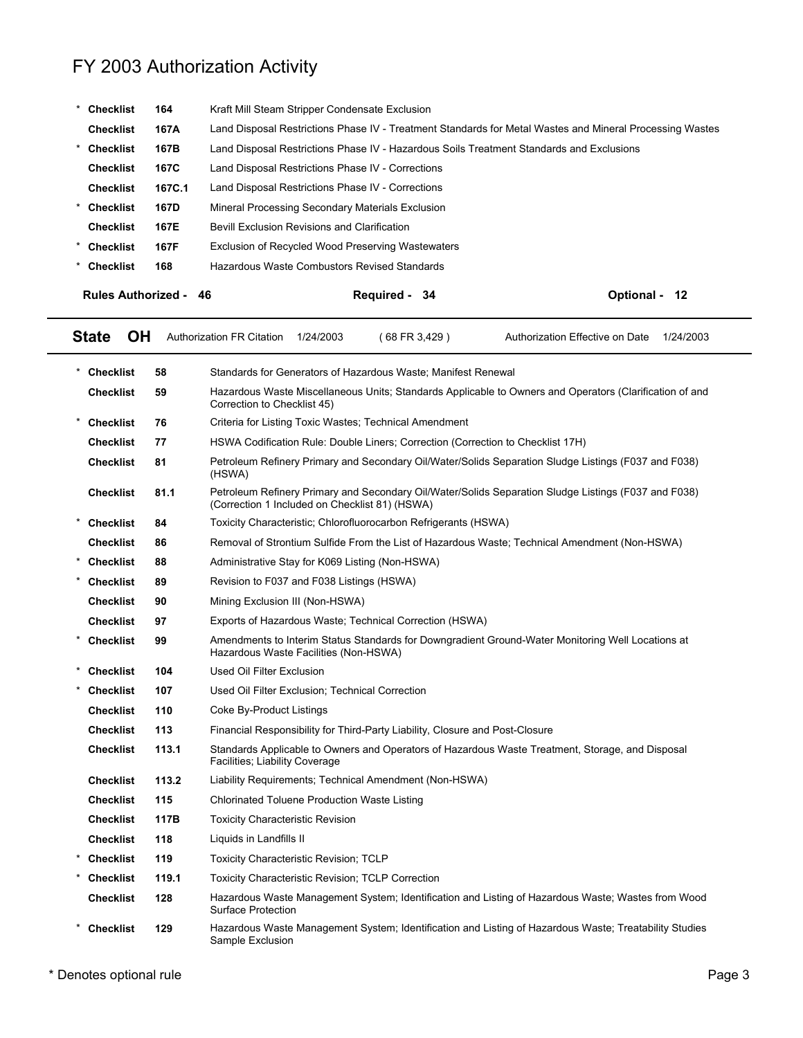| <b>Checklist</b>                                                         | 164    | Kraft Mill Steam Stripper Condensate Exclusion                                                           |                         |
|--------------------------------------------------------------------------|--------|----------------------------------------------------------------------------------------------------------|-------------------------|
| <b>Checklist</b>                                                         | 167A   | Land Disposal Restrictions Phase IV - Treatment Standards for Metal Wastes and Mineral Processing Wastes |                         |
| <b>Checklist</b>                                                         | 167B   | Land Disposal Restrictions Phase IV - Hazardous Soils Treatment Standards and Exclusions                 |                         |
| <b>Checklist</b>                                                         | 167C   | Land Disposal Restrictions Phase IV - Corrections                                                        |                         |
| <b>Checklist</b>                                                         | 167C.1 | Land Disposal Restrictions Phase IV - Corrections                                                        |                         |
| * Checklist                                                              | 167D   | Mineral Processing Secondary Materials Exclusion                                                         |                         |
| <b>Checklist</b>                                                         | 167E   | Bevill Exclusion Revisions and Clarification                                                             |                         |
| 167F<br>* Checklist<br>Exclusion of Recycled Wood Preserving Wastewaters |        |                                                                                                          |                         |
| * Checklist                                                              | 168    | Hazardous Waste Combustors Revised Standards                                                             |                         |
| <b>Rules Authorized - 46</b>                                             |        | <b>Required -</b><br>-34                                                                                 | <b>Optional -</b><br>12 |

| <b>State</b> | <b>OH</b> | <b>Authorization FR Citation</b> | 1/24/2003 | 68 FR 3.429 | Authorization Effective on Date | 1/24/2003 |
|--------------|-----------|----------------------------------|-----------|-------------|---------------------------------|-----------|
|              |           |                                  |           |             |                                 |           |

| <b>Checklist</b> | 58    | Standards for Generators of Hazardous Waste: Manifest Renewal                                                                                          |
|------------------|-------|--------------------------------------------------------------------------------------------------------------------------------------------------------|
| <b>Checklist</b> | 59    | Hazardous Waste Miscellaneous Units: Standards Applicable to Owners and Operators (Clarification of and<br>Correction to Checklist 45)                 |
| <b>Checklist</b> | 76    | Criteria for Listing Toxic Wastes; Technical Amendment                                                                                                 |
| <b>Checklist</b> | 77    | HSWA Codification Rule: Double Liners; Correction (Correction to Checklist 17H)                                                                        |
| <b>Checklist</b> | 81    | Petroleum Refinery Primary and Secondary Oil/Water/Solids Separation Sludge Listings (F037 and F038)<br>(HSWA)                                         |
| <b>Checklist</b> | 81.1  | Petroleum Refinery Primary and Secondary Oil/Water/Solids Separation Sludge Listings (F037 and F038)<br>(Correction 1 Included on Checklist 81) (HSWA) |
| * Checklist      | 84    | Toxicity Characteristic; Chlorofluorocarbon Refrigerants (HSWA)                                                                                        |
| <b>Checklist</b> | 86    | Removal of Strontium Sulfide From the List of Hazardous Waste; Technical Amendment (Non-HSWA)                                                          |
| Checklist        | 88    | Administrative Stay for K069 Listing (Non-HSWA)                                                                                                        |
| * Checklist      | 89    | Revision to F037 and F038 Listings (HSWA)                                                                                                              |
| <b>Checklist</b> | 90    | Mining Exclusion III (Non-HSWA)                                                                                                                        |
| <b>Checklist</b> | 97    | Exports of Hazardous Waste; Technical Correction (HSWA)                                                                                                |
| * Checklist      | 99    | Amendments to Interim Status Standards for Downgradient Ground-Water Monitoring Well Locations at<br>Hazardous Waste Facilities (Non-HSWA)             |
| * Checklist      | 104   | <b>Used Oil Filter Exclusion</b>                                                                                                                       |
| <b>Checklist</b> | 107   | Used Oil Filter Exclusion: Technical Correction                                                                                                        |
| <b>Checklist</b> | 110   | Coke By-Product Listings                                                                                                                               |
| <b>Checklist</b> | 113   | Financial Responsibility for Third-Party Liability, Closure and Post-Closure                                                                           |
| <b>Checklist</b> | 113.1 | Standards Applicable to Owners and Operators of Hazardous Waste Treatment, Storage, and Disposal<br>Facilities; Liability Coverage                     |
| <b>Checklist</b> | 113.2 | Liability Requirements; Technical Amendment (Non-HSWA)                                                                                                 |
| <b>Checklist</b> | 115   | <b>Chlorinated Toluene Production Waste Listing</b>                                                                                                    |
| <b>Checklist</b> | 117B  | <b>Toxicity Characteristic Revision</b>                                                                                                                |
| <b>Checklist</b> | 118   | Liquids in Landfills II                                                                                                                                |
| Checklist        | 119   | <b>Toxicity Characteristic Revision: TCLP</b>                                                                                                          |
| * Checklist      | 119.1 | <b>Toxicity Characteristic Revision: TCLP Correction</b>                                                                                               |
| <b>Checklist</b> | 128   | Hazardous Waste Management System; Identification and Listing of Hazardous Waste; Wastes from Wood<br><b>Surface Protection</b>                        |
| <b>Checklist</b> | 129   | Hazardous Waste Management System; Identification and Listing of Hazardous Waste; Treatability Studies<br>Sample Exclusion                             |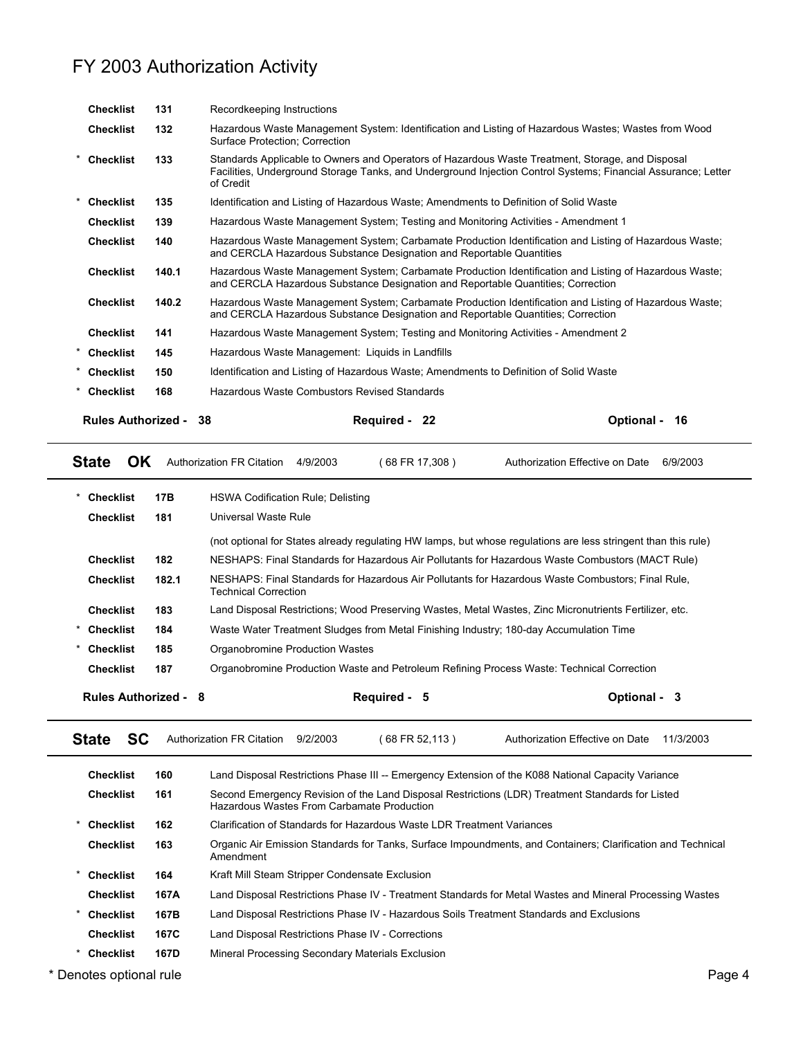|   | <b>Checklist</b>             | 131   | Recordkeeping Instructions                                                                                                                                                                                                     |                         |
|---|------------------------------|-------|--------------------------------------------------------------------------------------------------------------------------------------------------------------------------------------------------------------------------------|-------------------------|
|   | <b>Checklist</b>             | 132   | Hazardous Waste Management System: Identification and Listing of Hazardous Wastes; Wastes from Wood<br>Surface Protection; Correction                                                                                          |                         |
|   | * Checklist                  | 133   | Standards Applicable to Owners and Operators of Hazardous Waste Treatment, Storage, and Disposal<br>Facilities, Underground Storage Tanks, and Underground Injection Control Systems; Financial Assurance; Letter<br>of Credit |                         |
| * | <b>Checklist</b>             | 135   | Identification and Listing of Hazardous Waste; Amendments to Definition of Solid Waste                                                                                                                                         |                         |
|   | <b>Checklist</b>             | 139   | Hazardous Waste Management System; Testing and Monitoring Activities - Amendment 1                                                                                                                                             |                         |
|   | <b>Checklist</b>             | 140   | Hazardous Waste Management System; Carbamate Production Identification and Listing of Hazardous Waste;<br>and CERCLA Hazardous Substance Designation and Reportable Quantities                                                 |                         |
|   | <b>Checklist</b>             | 140.1 | Hazardous Waste Management System; Carbamate Production Identification and Listing of Hazardous Waste;<br>and CERCLA Hazardous Substance Designation and Reportable Quantities; Correction                                     |                         |
|   | <b>Checklist</b>             | 140.2 | Hazardous Waste Management System; Carbamate Production Identification and Listing of Hazardous Waste;<br>and CERCLA Hazardous Substance Designation and Reportable Quantities; Correction                                     |                         |
|   | <b>Checklist</b>             | 141   | Hazardous Waste Management System; Testing and Monitoring Activities - Amendment 2                                                                                                                                             |                         |
|   | * Checklist                  | 145   | Hazardous Waste Management: Liquids in Landfills                                                                                                                                                                               |                         |
|   | * Checklist                  | 150   | Identification and Listing of Hazardous Waste; Amendments to Definition of Solid Waste                                                                                                                                         |                         |
|   | * Checklist                  | 168   | Hazardous Waste Combustors Revised Standards                                                                                                                                                                                   |                         |
|   | <b>Rules Authorized - 38</b> |       | Required - 22                                                                                                                                                                                                                  | <b>Optional -</b><br>16 |

| <b>HSWA Codification Rule: Delisting</b><br>Universal Waste Rule<br>Checklist<br>181<br>(not optional for States already regulating HW lamps, but whose regulations are less stringent than this rule)<br><b>Checklist</b><br>182<br>NESHAPS: Final Standards for Hazardous Air Pollutants for Hazardous Waste Combustors (MACT Rule)<br>182.1<br><b>Checklist</b><br>NESHAPS: Final Standards for Hazardous Air Pollutants for Hazardous Waste Combustors: Final Rule.<br><b>Technical Correction</b><br>Land Disposal Restrictions; Wood Preserving Wastes, Metal Wastes, Zinc Micronutrients Fertilizer, etc.<br><b>Checklist</b><br>183<br>Waste Water Treatment Sludges from Metal Finishing Industry: 180-day Accumulation Time<br>Checklist<br>184<br>Organobromine Production Wastes<br><b>Checklist</b><br>185<br>187<br>Organobromine Production Waste and Petroleum Refining Process Waste: Technical Correction<br><b>Checklist</b> |           |     |  |  |  |  |
|-------------------------------------------------------------------------------------------------------------------------------------------------------------------------------------------------------------------------------------------------------------------------------------------------------------------------------------------------------------------------------------------------------------------------------------------------------------------------------------------------------------------------------------------------------------------------------------------------------------------------------------------------------------------------------------------------------------------------------------------------------------------------------------------------------------------------------------------------------------------------------------------------------------------------------------------------|-----------|-----|--|--|--|--|
|                                                                                                                                                                                                                                                                                                                                                                                                                                                                                                                                                                                                                                                                                                                                                                                                                                                                                                                                                 | Checklist | 17B |  |  |  |  |
|                                                                                                                                                                                                                                                                                                                                                                                                                                                                                                                                                                                                                                                                                                                                                                                                                                                                                                                                                 |           |     |  |  |  |  |
|                                                                                                                                                                                                                                                                                                                                                                                                                                                                                                                                                                                                                                                                                                                                                                                                                                                                                                                                                 |           |     |  |  |  |  |
|                                                                                                                                                                                                                                                                                                                                                                                                                                                                                                                                                                                                                                                                                                                                                                                                                                                                                                                                                 |           |     |  |  |  |  |
|                                                                                                                                                                                                                                                                                                                                                                                                                                                                                                                                                                                                                                                                                                                                                                                                                                                                                                                                                 |           |     |  |  |  |  |
|                                                                                                                                                                                                                                                                                                                                                                                                                                                                                                                                                                                                                                                                                                                                                                                                                                                                                                                                                 |           |     |  |  |  |  |
|                                                                                                                                                                                                                                                                                                                                                                                                                                                                                                                                                                                                                                                                                                                                                                                                                                                                                                                                                 |           |     |  |  |  |  |
|                                                                                                                                                                                                                                                                                                                                                                                                                                                                                                                                                                                                                                                                                                                                                                                                                                                                                                                                                 |           |     |  |  |  |  |
|                                                                                                                                                                                                                                                                                                                                                                                                                                                                                                                                                                                                                                                                                                                                                                                                                                                                                                                                                 |           |     |  |  |  |  |

|   | SC<br><b>State</b>      |      | Authorization FR Citation                      | 9/2/2003 | (68 FR 52,113 )                                                        | Authorization Effective on Date                                                                             | 11/3/2003 |
|---|-------------------------|------|------------------------------------------------|----------|------------------------------------------------------------------------|-------------------------------------------------------------------------------------------------------------|-----------|
|   | <b>Checklist</b>        | 160  |                                                |          |                                                                        | Land Disposal Restrictions Phase III -- Emergency Extension of the K088 National Capacity Variance          |           |
|   | <b>Checklist</b>        | 161  |                                                |          | Hazardous Wastes From Carbamate Production                             | Second Emergency Revision of the Land Disposal Restrictions (LDR) Treatment Standards for Listed            |           |
|   | <b>Checklist</b>        | 162  |                                                |          | Clarification of Standards for Hazardous Waste LDR Treatment Variances |                                                                                                             |           |
|   | <b>Checklist</b>        | 163  | Amendment                                      |          |                                                                        | Organic Air Emission Standards for Tanks, Surface Impoundments, and Containers; Clarification and Technical |           |
|   | <b>Checklist</b>        | 164  | Kraft Mill Steam Stripper Condensate Exclusion |          |                                                                        |                                                                                                             |           |
|   | <b>Checklist</b>        | 167A |                                                |          |                                                                        | Land Disposal Restrictions Phase IV - Treatment Standards for Metal Wastes and Mineral Processing Wastes    |           |
| * | <b>Checklist</b>        | 167B |                                                |          |                                                                        | Land Disposal Restrictions Phase IV - Hazardous Soils Treatment Standards and Exclusions                    |           |
|   | <b>Checklist</b>        | 167C |                                                |          | Land Disposal Restrictions Phase IV - Corrections                      |                                                                                                             |           |
|   | Checklist               | 167D |                                                |          | Mineral Processing Secondary Materials Exclusion                       |                                                                                                             |           |
|   | * Denotes optional rule |      |                                                |          |                                                                        |                                                                                                             | Page 4    |

 $\blacksquare$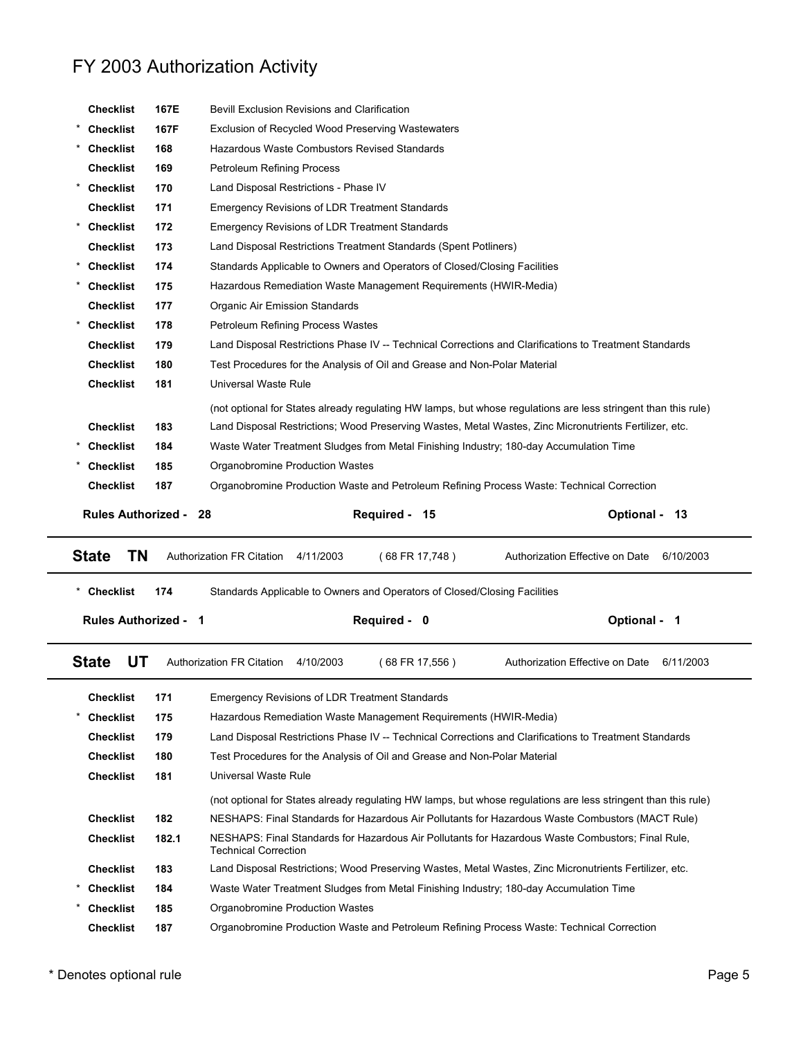| <b>Checklist</b>            | 167E  | <b>Bevill Exclusion Revisions and Clarification</b>                       |                |                                                                                                                |
|-----------------------------|-------|---------------------------------------------------------------------------|----------------|----------------------------------------------------------------------------------------------------------------|
| <b>Checklist</b>            | 167F  | Exclusion of Recycled Wood Preserving Wastewaters                         |                |                                                                                                                |
| * Checklist                 | 168   | Hazardous Waste Combustors Revised Standards                              |                |                                                                                                                |
| <b>Checklist</b>            | 169   | <b>Petroleum Refining Process</b>                                         |                |                                                                                                                |
| * Checklist                 | 170   | Land Disposal Restrictions - Phase IV                                     |                |                                                                                                                |
| <b>Checklist</b>            | 171   | <b>Emergency Revisions of LDR Treatment Standards</b>                     |                |                                                                                                                |
| * Checklist                 | 172   | <b>Emergency Revisions of LDR Treatment Standards</b>                     |                |                                                                                                                |
| <b>Checklist</b>            | 173   | Land Disposal Restrictions Treatment Standards (Spent Potliners)          |                |                                                                                                                |
| * Checklist                 | 174   | Standards Applicable to Owners and Operators of Closed/Closing Facilities |                |                                                                                                                |
| <b>Checklist</b>            | 175   | Hazardous Remediation Waste Management Requirements (HWIR-Media)          |                |                                                                                                                |
| <b>Checklist</b>            | 177   | Organic Air Emission Standards                                            |                |                                                                                                                |
| <b>Checklist</b>            | 178   | Petroleum Refining Process Wastes                                         |                |                                                                                                                |
| <b>Checklist</b>            | 179   |                                                                           |                | Land Disposal Restrictions Phase IV -- Technical Corrections and Clarifications to Treatment Standards         |
| <b>Checklist</b>            | 180   | Test Procedures for the Analysis of Oil and Grease and Non-Polar Material |                |                                                                                                                |
| <b>Checklist</b>            | 181   | Universal Waste Rule                                                      |                |                                                                                                                |
|                             |       |                                                                           |                | (not optional for States already regulating HW lamps, but whose regulations are less stringent than this rule) |
| <b>Checklist</b>            | 183   |                                                                           |                | Land Disposal Restrictions; Wood Preserving Wastes, Metal Wastes, Zinc Micronutrients Fertilizer, etc.         |
| <b>Checklist</b>            | 184   |                                                                           |                | Waste Water Treatment Sludges from Metal Finishing Industry; 180-day Accumulation Time                         |
| Checklist                   | 185   | Organobromine Production Wastes                                           |                |                                                                                                                |
| <b>Checklist</b>            | 187   |                                                                           |                | Organobromine Production Waste and Petroleum Refining Process Waste: Technical Correction                      |
|                             |       |                                                                           |                |                                                                                                                |
|                             |       |                                                                           |                |                                                                                                                |
| <b>Rules Authorized -</b>   |       | 28                                                                        | Required - 15  | Optional - 13                                                                                                  |
| <b>TN</b><br><b>State</b>   |       | Authorization FR Citation<br>4/11/2003                                    | (68 FR 17,748) | Authorization Effective on Date<br>6/10/2003                                                                   |
| * Checklist                 | 174   | Standards Applicable to Owners and Operators of Closed/Closing Facilities |                |                                                                                                                |
|                             |       |                                                                           |                |                                                                                                                |
| <b>Rules Authorized - 1</b> |       |                                                                           | Required - 0   | Optional - 1                                                                                                   |
| <b>State</b><br>UT          |       | <b>Authorization FR Citation</b><br>4/10/2003                             | (68 FR 17,556) | Authorization Effective on Date<br>6/11/2003                                                                   |
| <b>Checklist</b>            | 171   | <b>Emergency Revisions of LDR Treatment Standards</b>                     |                |                                                                                                                |
| <b>Checklist</b>            | 175   | Hazardous Remediation Waste Management Requirements (HWIR-Media)          |                |                                                                                                                |
| <b>Checklist</b>            | 179   |                                                                           |                | Land Disposal Restrictions Phase IV -- Technical Corrections and Clarifications to Treatment Standards         |
| <b>Checklist</b>            | 180   | Test Procedures for the Analysis of Oil and Grease and Non-Polar Material |                |                                                                                                                |
| <b>Checklist</b>            | 181   | Universal Waste Rule                                                      |                |                                                                                                                |
|                             |       |                                                                           |                | (not optional for States already regulating HW lamps, but whose regulations are less stringent than this rule) |
| <b>Checklist</b>            | 182   |                                                                           |                | NESHAPS: Final Standards for Hazardous Air Pollutants for Hazardous Waste Combustors (MACT Rule)               |
| <b>Checklist</b>            | 182.1 | <b>Technical Correction</b>                                               |                | NESHAPS: Final Standards for Hazardous Air Pollutants for Hazardous Waste Combustors; Final Rule,              |
| <b>Checklist</b>            | 183   |                                                                           |                | Land Disposal Restrictions; Wood Preserving Wastes, Metal Wastes, Zinc Micronutrients Fertilizer, etc.         |
| <b>Checklist</b>            | 184   |                                                                           |                | Waste Water Treatment Sludges from Metal Finishing Industry; 180-day Accumulation Time                         |
| <b>Checklist</b>            | 185   | Organobromine Production Wastes                                           |                |                                                                                                                |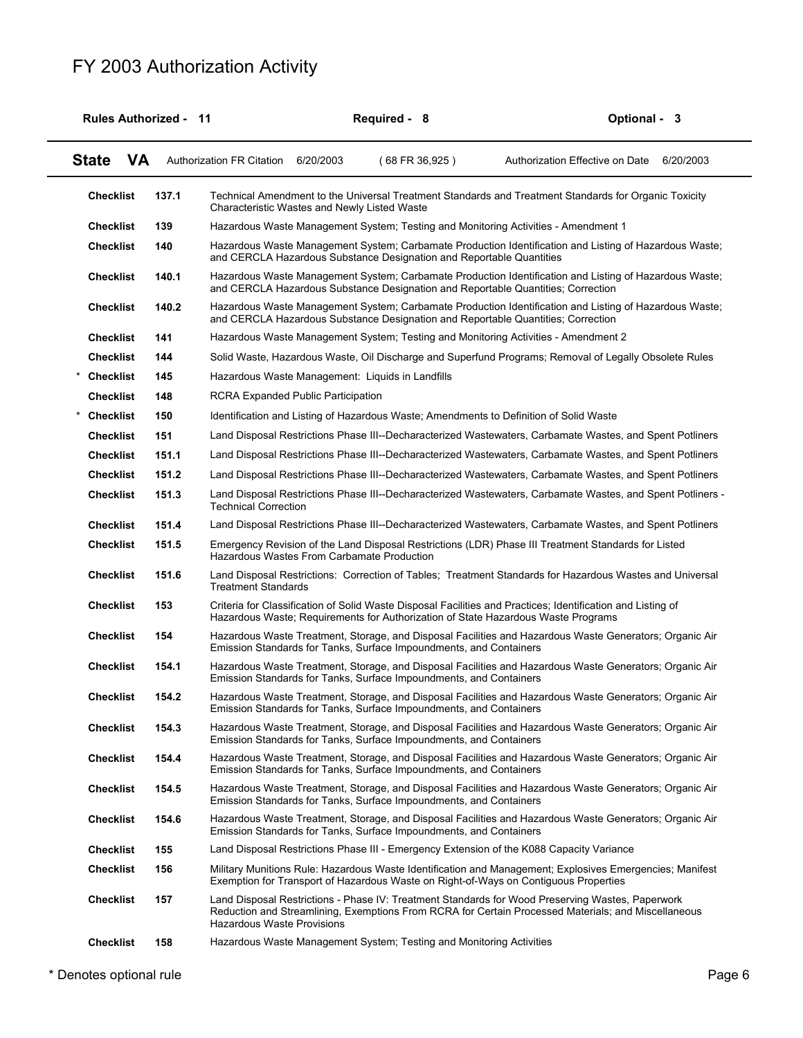|                  |           | <b>Rules Authorized - 11</b> |                                                                      | Required - 8 |                  | Optional - 3                                                                                                                                                                                            |
|------------------|-----------|------------------------------|----------------------------------------------------------------------|--------------|------------------|---------------------------------------------------------------------------------------------------------------------------------------------------------------------------------------------------------|
| <b>State</b>     | <b>VA</b> |                              | Authorization FR Citation 6/20/2003                                  |              | $(68$ FR 36,925) | Authorization Effective on Date<br>6/20/2003                                                                                                                                                            |
| <b>Checklist</b> |           | 137.1                        | Characteristic Wastes and Newly Listed Waste                         |              |                  | Technical Amendment to the Universal Treatment Standards and Treatment Standards for Organic Toxicity                                                                                                   |
| <b>Checklist</b> |           | 139                          |                                                                      |              |                  | Hazardous Waste Management System; Testing and Monitoring Activities - Amendment 1                                                                                                                      |
| <b>Checklist</b> |           | 140                          |                                                                      |              |                  | Hazardous Waste Management System; Carbamate Production Identification and Listing of Hazardous Waste;<br>and CERCLA Hazardous Substance Designation and Reportable Quantities                          |
| <b>Checklist</b> |           | 140.1                        |                                                                      |              |                  | Hazardous Waste Management System; Carbamate Production Identification and Listing of Hazardous Waste;<br>and CERCLA Hazardous Substance Designation and Reportable Quantities; Correction              |
| <b>Checklist</b> |           | 140.2                        |                                                                      |              |                  | Hazardous Waste Management System; Carbamate Production Identification and Listing of Hazardous Waste;<br>and CERCLA Hazardous Substance Designation and Reportable Quantities; Correction              |
| <b>Checklist</b> |           | 141                          |                                                                      |              |                  | Hazardous Waste Management System; Testing and Monitoring Activities - Amendment 2                                                                                                                      |
| <b>Checklist</b> |           | 144                          |                                                                      |              |                  | Solid Waste, Hazardous Waste, Oil Discharge and Superfund Programs; Removal of Legally Obsolete Rules                                                                                                   |
| <b>Checklist</b> |           | 145                          | Hazardous Waste Management: Liquids in Landfills                     |              |                  |                                                                                                                                                                                                         |
| <b>Checklist</b> |           | 148                          | <b>RCRA Expanded Public Participation</b>                            |              |                  |                                                                                                                                                                                                         |
| <b>Checklist</b> |           | 150                          |                                                                      |              |                  | Identification and Listing of Hazardous Waste; Amendments to Definition of Solid Waste                                                                                                                  |
| <b>Checklist</b> |           | 151                          |                                                                      |              |                  | Land Disposal Restrictions Phase III--Decharacterized Wastewaters, Carbamate Wastes, and Spent Potliners                                                                                                |
| <b>Checklist</b> |           | 151.1                        |                                                                      |              |                  | Land Disposal Restrictions Phase III--Decharacterized Wastewaters, Carbamate Wastes, and Spent Potliners                                                                                                |
| <b>Checklist</b> |           | 151.2                        |                                                                      |              |                  | Land Disposal Restrictions Phase III--Decharacterized Wastewaters, Carbamate Wastes, and Spent Potliners                                                                                                |
| <b>Checklist</b> |           | 151.3                        | <b>Technical Correction</b>                                          |              |                  | Land Disposal Restrictions Phase III--Decharacterized Wastewaters, Carbamate Wastes, and Spent Potliners -                                                                                              |
| <b>Checklist</b> |           | 151.4                        |                                                                      |              |                  | Land Disposal Restrictions Phase III--Decharacterized Wastewaters, Carbamate Wastes, and Spent Potliners                                                                                                |
| <b>Checklist</b> |           | 151.5                        | Hazardous Wastes From Carbamate Production                           |              |                  | Emergency Revision of the Land Disposal Restrictions (LDR) Phase III Treatment Standards for Listed                                                                                                     |
| <b>Checklist</b> |           | 151.6                        | <b>Treatment Standards</b>                                           |              |                  | Land Disposal Restrictions: Correction of Tables; Treatment Standards for Hazardous Wastes and Universal                                                                                                |
| <b>Checklist</b> |           | 153                          |                                                                      |              |                  | Criteria for Classification of Solid Waste Disposal Facilities and Practices; Identification and Listing of<br>Hazardous Waste; Requirements for Authorization of State Hazardous Waste Programs        |
| <b>Checklist</b> |           | 154                          | Emission Standards for Tanks, Surface Impoundments, and Containers   |              |                  | Hazardous Waste Treatment, Storage, and Disposal Facilities and Hazardous Waste Generators; Organic Air                                                                                                 |
| <b>Checklist</b> |           | 154.1                        | Emission Standards for Tanks, Surface Impoundments, and Containers   |              |                  | Hazardous Waste Treatment, Storage, and Disposal Facilities and Hazardous Waste Generators; Organic Air                                                                                                 |
| <b>Checklist</b> |           | 154.2                        | Emission Standards for Tanks, Surface Impoundments, and Containers   |              |                  | Hazardous Waste Treatment, Storage, and Disposal Facilities and Hazardous Waste Generators; Organic Air                                                                                                 |
| <b>Checklist</b> |           | 154.3                        | Emission Standards for Tanks, Surface Impoundments, and Containers   |              |                  | Hazardous Waste Treatment, Storage, and Disposal Facilities and Hazardous Waste Generators; Organic Air                                                                                                 |
| <b>Checklist</b> |           | 154.4                        | Emission Standards for Tanks, Surface Impoundments, and Containers   |              |                  | Hazardous Waste Treatment, Storage, and Disposal Facilities and Hazardous Waste Generators; Organic Air                                                                                                 |
| <b>Checklist</b> |           | 154.5                        | Emission Standards for Tanks, Surface Impoundments, and Containers   |              |                  | Hazardous Waste Treatment, Storage, and Disposal Facilities and Hazardous Waste Generators; Organic Air                                                                                                 |
| <b>Checklist</b> |           | 154.6                        | Emission Standards for Tanks, Surface Impoundments, and Containers   |              |                  | Hazardous Waste Treatment, Storage, and Disposal Facilities and Hazardous Waste Generators; Organic Air                                                                                                 |
| <b>Checklist</b> |           | 155                          |                                                                      |              |                  | Land Disposal Restrictions Phase III - Emergency Extension of the K088 Capacity Variance                                                                                                                |
| <b>Checklist</b> |           | 156                          |                                                                      |              |                  | Military Munitions Rule: Hazardous Waste Identification and Management; Explosives Emergencies; Manifest<br>Exemption for Transport of Hazardous Waste on Right-of-Ways on Contiguous Properties        |
| <b>Checklist</b> |           | 157                          | <b>Hazardous Waste Provisions</b>                                    |              |                  | Land Disposal Restrictions - Phase IV: Treatment Standards for Wood Preserving Wastes, Paperwork<br>Reduction and Streamlining, Exemptions From RCRA for Certain Processed Materials; and Miscellaneous |
| <b>Checklist</b> |           | 158                          | Hazardous Waste Management System; Testing and Monitoring Activities |              |                  |                                                                                                                                                                                                         |
|                  |           |                              |                                                                      |              |                  |                                                                                                                                                                                                         |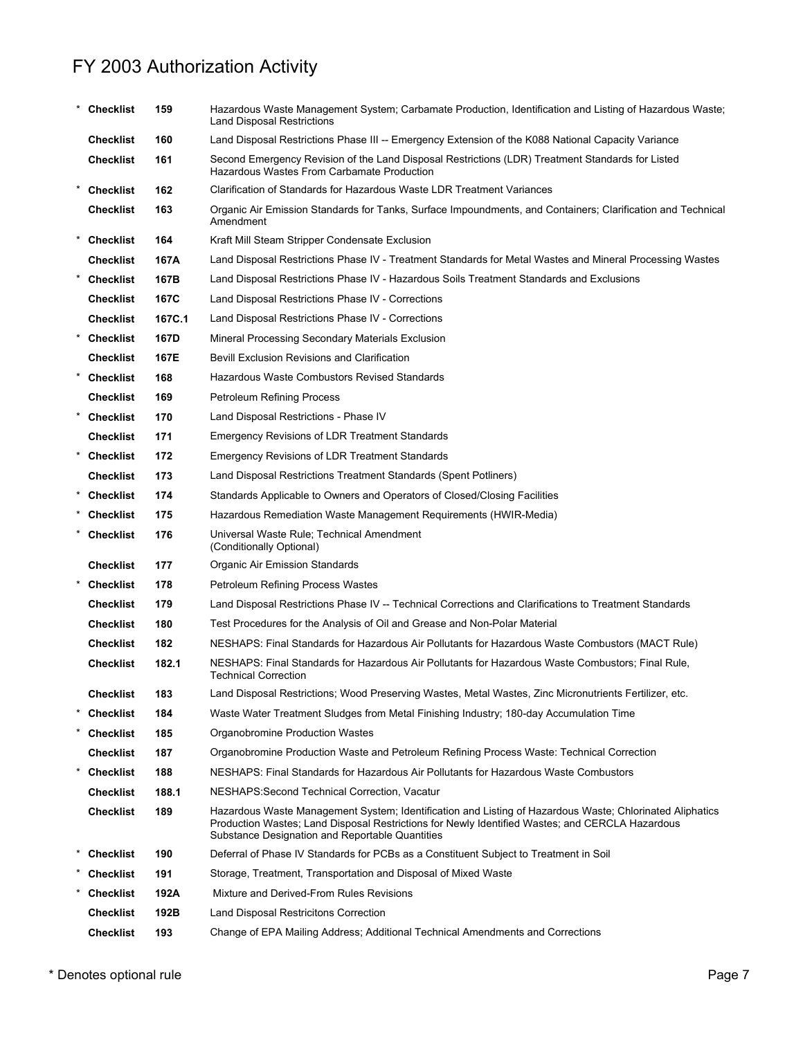|        | <b>Checklist</b> | 159    | Hazardous Waste Management System; Carbamate Production, Identification and Listing of Hazardous Waste;<br><b>Land Disposal Restrictions</b>                                                                                                                   |
|--------|------------------|--------|----------------------------------------------------------------------------------------------------------------------------------------------------------------------------------------------------------------------------------------------------------------|
|        | <b>Checklist</b> | 160    | Land Disposal Restrictions Phase III -- Emergency Extension of the K088 National Capacity Variance                                                                                                                                                             |
|        | <b>Checklist</b> | 161    | Second Emergency Revision of the Land Disposal Restrictions (LDR) Treatment Standards for Listed<br>Hazardous Wastes From Carbamate Production                                                                                                                 |
|        | <b>Checklist</b> | 162    | Clarification of Standards for Hazardous Waste LDR Treatment Variances                                                                                                                                                                                         |
|        | <b>Checklist</b> | 163    | Organic Air Emission Standards for Tanks, Surface Impoundments, and Containers; Clarification and Technical<br>Amendment                                                                                                                                       |
|        | * Checklist      | 164    | Kraft Mill Steam Stripper Condensate Exclusion                                                                                                                                                                                                                 |
|        | <b>Checklist</b> | 167A   | Land Disposal Restrictions Phase IV - Treatment Standards for Metal Wastes and Mineral Processing Wastes                                                                                                                                                       |
|        | * Checklist      | 167B   | Land Disposal Restrictions Phase IV - Hazardous Soils Treatment Standards and Exclusions                                                                                                                                                                       |
|        | <b>Checklist</b> | 167C   | Land Disposal Restrictions Phase IV - Corrections                                                                                                                                                                                                              |
|        | <b>Checklist</b> | 167C.1 | Land Disposal Restrictions Phase IV - Corrections                                                                                                                                                                                                              |
|        | * Checklist      | 167D   | Mineral Processing Secondary Materials Exclusion                                                                                                                                                                                                               |
|        | <b>Checklist</b> | 167E   | Bevill Exclusion Revisions and Clarification                                                                                                                                                                                                                   |
|        | * Checklist      | 168    | Hazardous Waste Combustors Revised Standards                                                                                                                                                                                                                   |
|        | <b>Checklist</b> | 169    | <b>Petroleum Refining Process</b>                                                                                                                                                                                                                              |
|        | * Checklist      | 170    | Land Disposal Restrictions - Phase IV                                                                                                                                                                                                                          |
|        | <b>Checklist</b> | 171    | <b>Emergency Revisions of LDR Treatment Standards</b>                                                                                                                                                                                                          |
|        | * Checklist      | 172    | <b>Emergency Revisions of LDR Treatment Standards</b>                                                                                                                                                                                                          |
|        | <b>Checklist</b> | 173    | Land Disposal Restrictions Treatment Standards (Spent Potliners)                                                                                                                                                                                               |
|        | * Checklist      | 174    | Standards Applicable to Owners and Operators of Closed/Closing Facilities                                                                                                                                                                                      |
|        | Checklist        | 175    | Hazardous Remediation Waste Management Requirements (HWIR-Media)                                                                                                                                                                                               |
|        | * Checklist      | 176    | Universal Waste Rule; Technical Amendment<br>(Conditionally Optional)                                                                                                                                                                                          |
|        | <b>Checklist</b> | 177    | Organic Air Emission Standards                                                                                                                                                                                                                                 |
|        | * Checklist      | 178    | Petroleum Refining Process Wastes                                                                                                                                                                                                                              |
|        | <b>Checklist</b> | 179    | Land Disposal Restrictions Phase IV -- Technical Corrections and Clarifications to Treatment Standards                                                                                                                                                         |
|        | <b>Checklist</b> | 180    | Test Procedures for the Analysis of Oil and Grease and Non-Polar Material                                                                                                                                                                                      |
|        | <b>Checklist</b> | 182    | NESHAPS: Final Standards for Hazardous Air Pollutants for Hazardous Waste Combustors (MACT Rule)                                                                                                                                                               |
|        | <b>Checklist</b> | 182.1  | NESHAPS: Final Standards for Hazardous Air Pollutants for Hazardous Waste Combustors; Final Rule,<br><b>Technical Correction</b>                                                                                                                               |
|        | <b>Checklist</b> | 183    | Land Disposal Restrictions; Wood Preserving Wastes, Metal Wastes, Zinc Micronutrients Fertilizer, etc.                                                                                                                                                         |
| $\ast$ | <b>Checklist</b> | 184    | Waste Water Treatment Sludges from Metal Finishing Industry; 180-day Accumulation Time                                                                                                                                                                         |
|        | * Checklist      | 185    | Organobromine Production Wastes                                                                                                                                                                                                                                |
|        | Checklist        | 187    | Organobromine Production Waste and Petroleum Refining Process Waste: Technical Correction                                                                                                                                                                      |
|        | * Checklist      | 188    | NESHAPS: Final Standards for Hazardous Air Pollutants for Hazardous Waste Combustors                                                                                                                                                                           |
|        | Checklist        | 188.1  | NESHAPS: Second Technical Correction, Vacatur                                                                                                                                                                                                                  |
|        | <b>Checklist</b> | 189    | Hazardous Waste Management System; Identification and Listing of Hazardous Waste; Chlorinated Aliphatics<br>Production Wastes; Land Disposal Restrictions for Newly Identified Wastes; and CERCLA Hazardous<br>Substance Designation and Reportable Quantities |
|        | <b>Checklist</b> | 190    | Deferral of Phase IV Standards for PCBs as a Constituent Subject to Treatment in Soil                                                                                                                                                                          |
|        | Checklist        | 191    | Storage, Treatment, Transportation and Disposal of Mixed Waste                                                                                                                                                                                                 |
|        | <b>Checklist</b> | 192A   | Mixture and Derived-From Rules Revisions                                                                                                                                                                                                                       |
|        | <b>Checklist</b> | 192B   | Land Disposal Restricitons Correction                                                                                                                                                                                                                          |
|        | <b>Checklist</b> | 193    | Change of EPA Mailing Address; Additional Technical Amendments and Corrections                                                                                                                                                                                 |